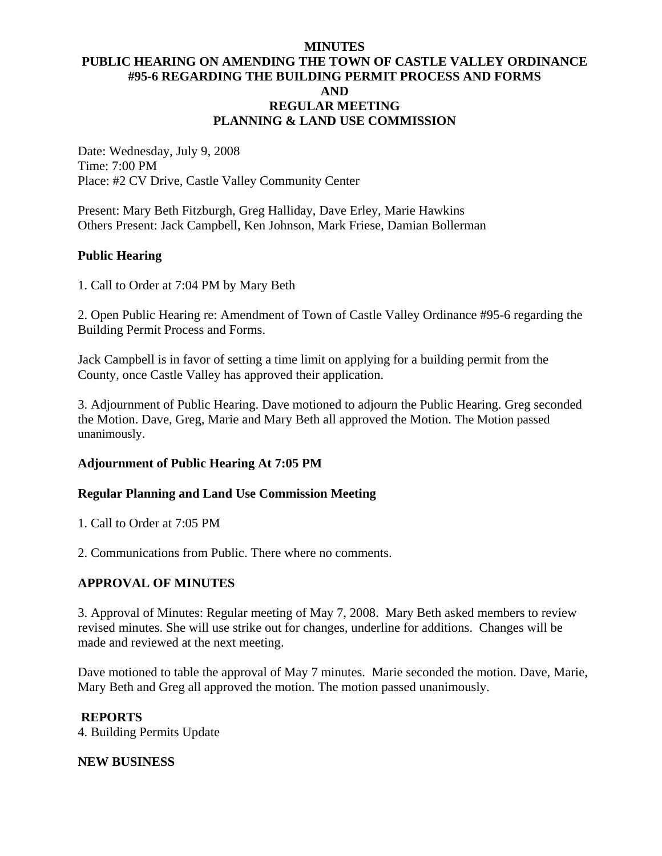### **MINUTES PUBLIC HEARING ON AMENDING THE TOWN OF CASTLE VALLEY ORDINANCE #95-6 REGARDING THE BUILDING PERMIT PROCESS AND FORMS AND REGULAR MEETING PLANNING & LAND USE COMMISSION**

Date: Wednesday, July 9, 2008 Time: 7:00 PM Place: #2 CV Drive, Castle Valley Community Center

Present: Mary Beth Fitzburgh, Greg Halliday, Dave Erley, Marie Hawkins Others Present: Jack Campbell, Ken Johnson, Mark Friese, Damian Bollerman

### **Public Hearing**

1. Call to Order at 7:04 PM by Mary Beth

2. Open Public Hearing re: Amendment of Town of Castle Valley Ordinance #95-6 regarding the Building Permit Process and Forms.

Jack Campbell is in favor of setting a time limit on applying for a building permit from the County, once Castle Valley has approved their application.

3. Adjournment of Public Hearing. Dave motioned to adjourn the Public Hearing. Greg seconded the Motion. Dave, Greg, Marie and Mary Beth all approved the Motion. The Motion passed unanimously.

## **Adjournment of Public Hearing At 7:05 PM**

## **Regular Planning and Land Use Commission Meeting**

1. Call to Order at 7:05 PM

2. Communications from Public. There where no comments.

## **APPROVAL OF MINUTES**

3. Approval of Minutes: Regular meeting of May 7, 2008. Mary Beth asked members to review revised minutes. She will use strike out for changes, underline for additions. Changes will be made and reviewed at the next meeting.

Dave motioned to table the approval of May 7 minutes. Marie seconded the motion. Dave, Marie, Mary Beth and Greg all approved the motion. The motion passed unanimously.

#### **REPORTS**

4. Building Permits Update

#### **NEW BUSINESS**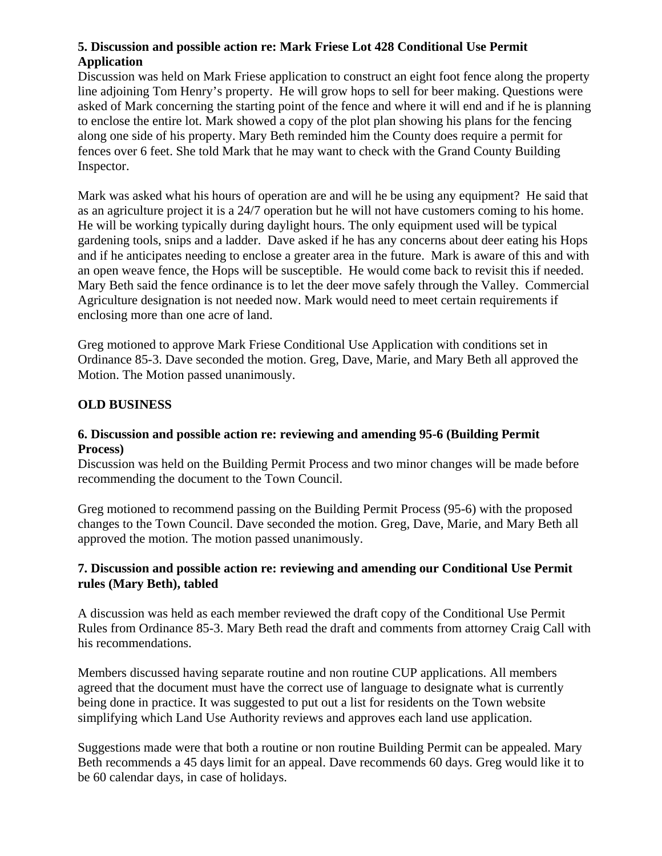## **5. Discussion and possible action re: Mark Friese Lot 428 Conditional Use Permit Application**

Discussion was held on Mark Friese application to construct an eight foot fence along the property line adjoining Tom Henry's property. He will grow hops to sell for beer making. Questions were asked of Mark concerning the starting point of the fence and where it will end and if he is planning to enclose the entire lot. Mark showed a copy of the plot plan showing his plans for the fencing along one side of his property. Mary Beth reminded him the County does require a permit for fences over 6 feet. She told Mark that he may want to check with the Grand County Building Inspector.

Mark was asked what his hours of operation are and will he be using any equipment? He said that as an agriculture project it is a 24/7 operation but he will not have customers coming to his home. He will be working typically during daylight hours. The only equipment used will be typical gardening tools, snips and a ladder. Dave asked if he has any concerns about deer eating his Hops and if he anticipates needing to enclose a greater area in the future. Mark is aware of this and with an open weave fence, the Hops will be susceptible. He would come back to revisit this if needed. Mary Beth said the fence ordinance is to let the deer move safely through the Valley. Commercial Agriculture designation is not needed now. Mark would need to meet certain requirements if enclosing more than one acre of land.

Greg motioned to approve Mark Friese Conditional Use Application with conditions set in Ordinance 85-3. Dave seconded the motion. Greg, Dave, Marie, and Mary Beth all approved the Motion. The Motion passed unanimously.

## **OLD BUSINESS**

## **6. Discussion and possible action re: reviewing and amending 95-6 (Building Permit Process)**

Discussion was held on the Building Permit Process and two minor changes will be made before recommending the document to the Town Council.

Greg motioned to recommend passing on the Building Permit Process (95-6) with the proposed changes to the Town Council. Dave seconded the motion. Greg, Dave, Marie, and Mary Beth all approved the motion. The motion passed unanimously.

## **7. Discussion and possible action re: reviewing and amending our Conditional Use Permit rules (Mary Beth), tabled**

A discussion was held as each member reviewed the draft copy of the Conditional Use Permit Rules from Ordinance 85-3. Mary Beth read the draft and comments from attorney Craig Call with his recommendations.

Members discussed having separate routine and non routine CUP applications. All members agreed that the document must have the correct use of language to designate what is currently being done in practice. It was suggested to put out a list for residents on the Town website simplifying which Land Use Authority reviews and approves each land use application.

Suggestions made were that both a routine or non routine Building Permit can be appealed. Mary Beth recommends a 45 days limit for an appeal. Dave recommends 60 days. Greg would like it to be 60 calendar days, in case of holidays.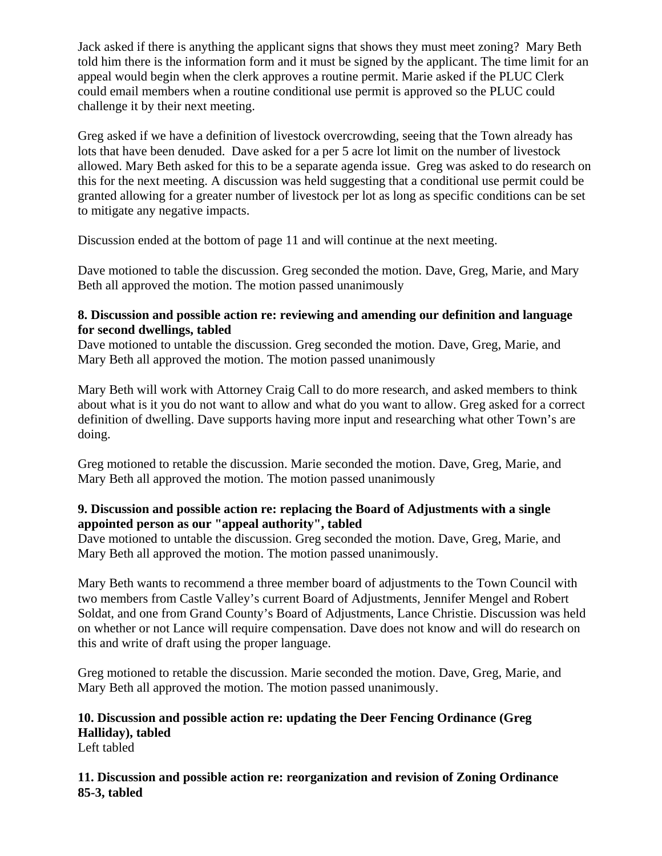Jack asked if there is anything the applicant signs that shows they must meet zoning? Mary Beth told him there is the information form and it must be signed by the applicant. The time limit for an appeal would begin when the clerk approves a routine permit. Marie asked if the PLUC Clerk could email members when a routine conditional use permit is approved so the PLUC could challenge it by their next meeting.

Greg asked if we have a definition of livestock overcrowding, seeing that the Town already has lots that have been denuded. Dave asked for a per 5 acre lot limit on the number of livestock allowed. Mary Beth asked for this to be a separate agenda issue. Greg was asked to do research on this for the next meeting. A discussion was held suggesting that a conditional use permit could be granted allowing for a greater number of livestock per lot as long as specific conditions can be set to mitigate any negative impacts.

Discussion ended at the bottom of page 11 and will continue at the next meeting.

Dave motioned to table the discussion. Greg seconded the motion. Dave, Greg, Marie, and Mary Beth all approved the motion. The motion passed unanimously

## **8. Discussion and possible action re: reviewing and amending our definition and language for second dwellings, tabled**

Dave motioned to untable the discussion. Greg seconded the motion. Dave, Greg, Marie, and Mary Beth all approved the motion. The motion passed unanimously

Mary Beth will work with Attorney Craig Call to do more research, and asked members to think about what is it you do not want to allow and what do you want to allow. Greg asked for a correct definition of dwelling. Dave supports having more input and researching what other Town's are doing.

Greg motioned to retable the discussion. Marie seconded the motion. Dave, Greg, Marie, and Mary Beth all approved the motion. The motion passed unanimously

## **9. Discussion and possible action re: replacing the Board of Adjustments with a single appointed person as our "appeal authority", tabled**

Dave motioned to untable the discussion. Greg seconded the motion. Dave, Greg, Marie, and Mary Beth all approved the motion. The motion passed unanimously.

Mary Beth wants to recommend a three member board of adjustments to the Town Council with two members from Castle Valley's current Board of Adjustments, Jennifer Mengel and Robert Soldat, and one from Grand County's Board of Adjustments, Lance Christie. Discussion was held on whether or not Lance will require compensation. Dave does not know and will do research on this and write of draft using the proper language.

Greg motioned to retable the discussion. Marie seconded the motion. Dave, Greg, Marie, and Mary Beth all approved the motion. The motion passed unanimously.

#### **10. Discussion and possible action re: updating the Deer Fencing Ordinance (Greg Halliday), tabled**  Left tabled

**11. Discussion and possible action re: reorganization and revision of Zoning Ordinance 85-3, tabled**